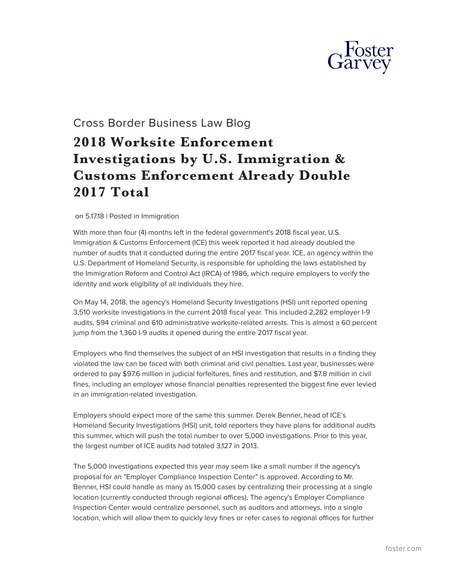

## Cross Border Business Law Blog

## **2018 Worksite Enforcement Investigations by U.S. Immigration & Customs Enforcement Already Double 2017 Total**

on 5.17.18 | Posted in Immigration

With more than four (4) months left in the federal government's 2018 fiscal year, U.S. Immigration & Customs Enforcement (ICE) this week reported it had already doubled the number of audits that it conducted during the entire 2017 fiscal year. ICE, an agency within the U.S. Department of Homeland Security, is responsible for upholding the laws established by the Immigration Reform and Control Act (IRCA) of 1986, which require employers to verify the identity and work eligibility of all individuals they hire.

On May 14, 2018, the agency's Homeland Security Investigations (HSI) unit reported opening 3,510 worksite investigations in the current 2018 fiscal year. This included 2,282 employer I-9 audits, 594 criminal and 610 administrative worksite-related arrests. This is almost a 60 percent jump from the 1,360 I-9 audits it opened during the entire 2017 fiscal year.

Employers who find themselves the subject of an HSI investigation that results in a finding they violated the law can be faced with both criminal and civil penalties. Last year, businesses were ordered to pay \$97.6 million in judicial forfeitures, fines and restitution, and \$7.8 million in civil fines, including an employer whose financial penalties represented the biggest fine ever levied in an immigration-related investigation.

Employers should expect more of the same this summer. Derek Benner, head of ICE's Homeland Security Investigations (HSI) unit, told reporters they have plans for additional audits this summer, which will push the total number to over 5,000 investigations. Prior to this year, the largest number of ICE audits had totaled 3,127 in 2013.

The 5,000 investigations expected this year may seem like a small number if the agency's proposal for an "Employer Compliance Inspection Center" is approved. According to Mr. Benner, HSI could handle as many as 15,000 cases by centralizing their processing at a single location (currently conducted through regional offices). The agency's Employer Compliance Inspection Center would centralize personnel, such as auditors and attorneys, into a single location, which will allow them to quickly levy fines or refer cases to regional offices for further